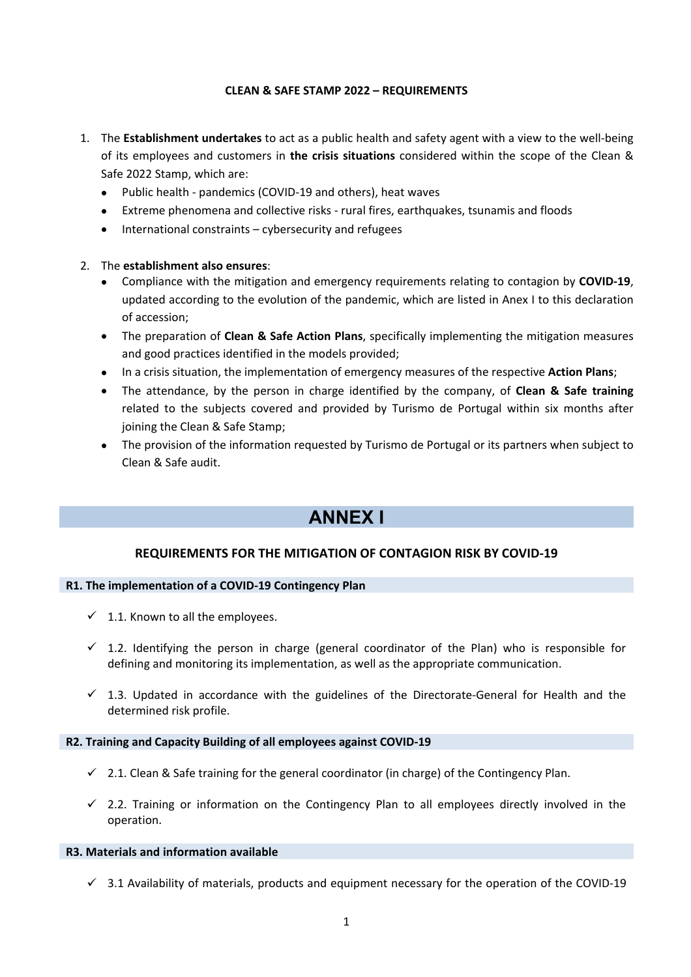## **CLEAN & SAFE STAMP 2022 – REQUIREMENTS**

- 1. The **Establishment undertakes** to act as a public health and safety agent with a view to the well-being of its employees and customers in **the crisis situations** considered within the scope of the Clean & Safe 2022 Stamp, which are:
	- Public health pandemics (COVID-19 and others), heat waves
	- Extreme phenomena and collective risks rural fires, earthquakes, tsunamis and floods
	- International constraints cybersecurity and refugees

## 2. The **establishment also ensures**:

- Compliance with the mitigation and emergency requirements relating to contagion by **COVID-19**, updated according to the evolution of the pandemic, which are listed in Anex I to this declaration of accession;
- The preparation of **Clean & Safe Action Plans**, specifically implementing the mitigation measures and good practices identified in the models provided;
- In a crisis situation, the implementation of emergency measures of the respective **Action Plans**;
- The attendance, by the person in charge identified by the company, of **Clean & Safe training** related to the subjects covered and provided by Turismo de Portugal within six months after joining the Clean & Safe Stamp;
- The provision of the information requested by Turismo de Portugal or its partners when subject to Clean & Safe audit.

# **ANNEX I**

## **REQUIREMENTS FOR THE MITIGATION OF CONTAGION RISK BY COVID-19**

## **R1. The implementation of a COVID-19 Contingency Plan**

- $\checkmark$  1.1. Known to all the employees.
- $\checkmark$  1.2. Identifying the person in charge (general coordinator of the Plan) who is responsible for defining and monitoring its implementation, as well as the appropriate communication.
- $\checkmark$  1.3. Updated in accordance with the guidelines of the Directorate-General for Health and the determined risk profile.

## **R2. Training and Capacity Building of all employees against COVID-19**

- $\checkmark$  2.1. Clean & Safe training for the general coordinator (in charge) of the Contingency Plan.
- $\checkmark$  2.2. Training or information on the Contingency Plan to all employees directly involved in the operation.

## **R3. Materials and information available**

 $\checkmark$  3.1 Availability of materials, products and equipment necessary for the operation of the COVID-19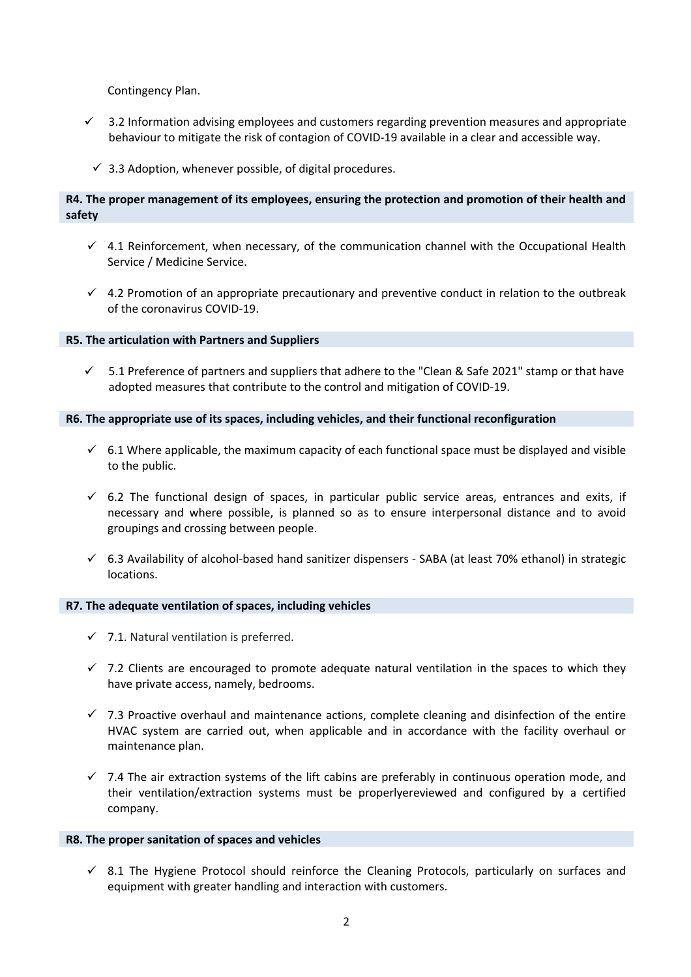Contingency Plan.

- $\checkmark$  3.2 Information advising employees and customers regarding prevention measures and appropriate behaviour to mitigate the risk of contagion of COVID-19 available in a clear and accessible way.
- $\checkmark$  3.3 Adoption, whenever possible, of digital procedures.

## **R4. The proper management of its employees, ensuring the protection and promotion of their health and safety**

- $4.1$  Reinforcement, when necessary, of the communication channel with the Occupational Health Service / Medicine Service.
- $\checkmark$  4.2 Promotion of an appropriate precautionary and preventive conduct in relation to the outbreak of the coronavirus COVID-19.

## **R5. The articulation with Partners and Suppliers**

 $\checkmark$  5.1 Preference of partners and suppliers that adhere to the "Clean & Safe 2021" stamp or that have adopted measures that contribute to the control and mitigation of COVID-19.

## **R6. The appropriate use of its spaces, including vehicles, and their functional reconfiguration**

- $6.1$  Where applicable, the maximum capacity of each functional space must be displayed and visible to the public.
- $6.2$  The functional design of spaces, in particular public service areas, entrances and exits, if necessary and where possible, is planned so as to ensure interpersonal distance and to avoid groupings and crossing between people.
- $6.3$  Availability of alcohol-based hand sanitizer dispensers SABA (at least 70% ethanol) in strategic locations.

## **R7. The adequate ventilation of spaces, including vehicles**

- $\checkmark$  7.1. Natural ventilation is preferred.
- $\checkmark$  7.2 Clients are encouraged to promote adequate natural ventilation in the spaces to which they have private access, namely, bedrooms.
- $\checkmark$  7.3 Proactive overhaul and maintenance actions, complete cleaning and disinfection of the entire HVAC system are carried out, when applicable and in accordance with the facility overhaul or maintenance plan.
- $\checkmark$  7.4 The air extraction systems of the lift cabins are preferably in continuous operation mode, and their ventilation/extraction systems must be properlyereviewed and configured by a certified company.

## **R8. The proper sanitation of spaces and vehicles**

 $\checkmark$  8.1 The Hygiene Protocol should reinforce the Cleaning Protocols, particularly on surfaces and equipment with greater handling and interaction with customers.